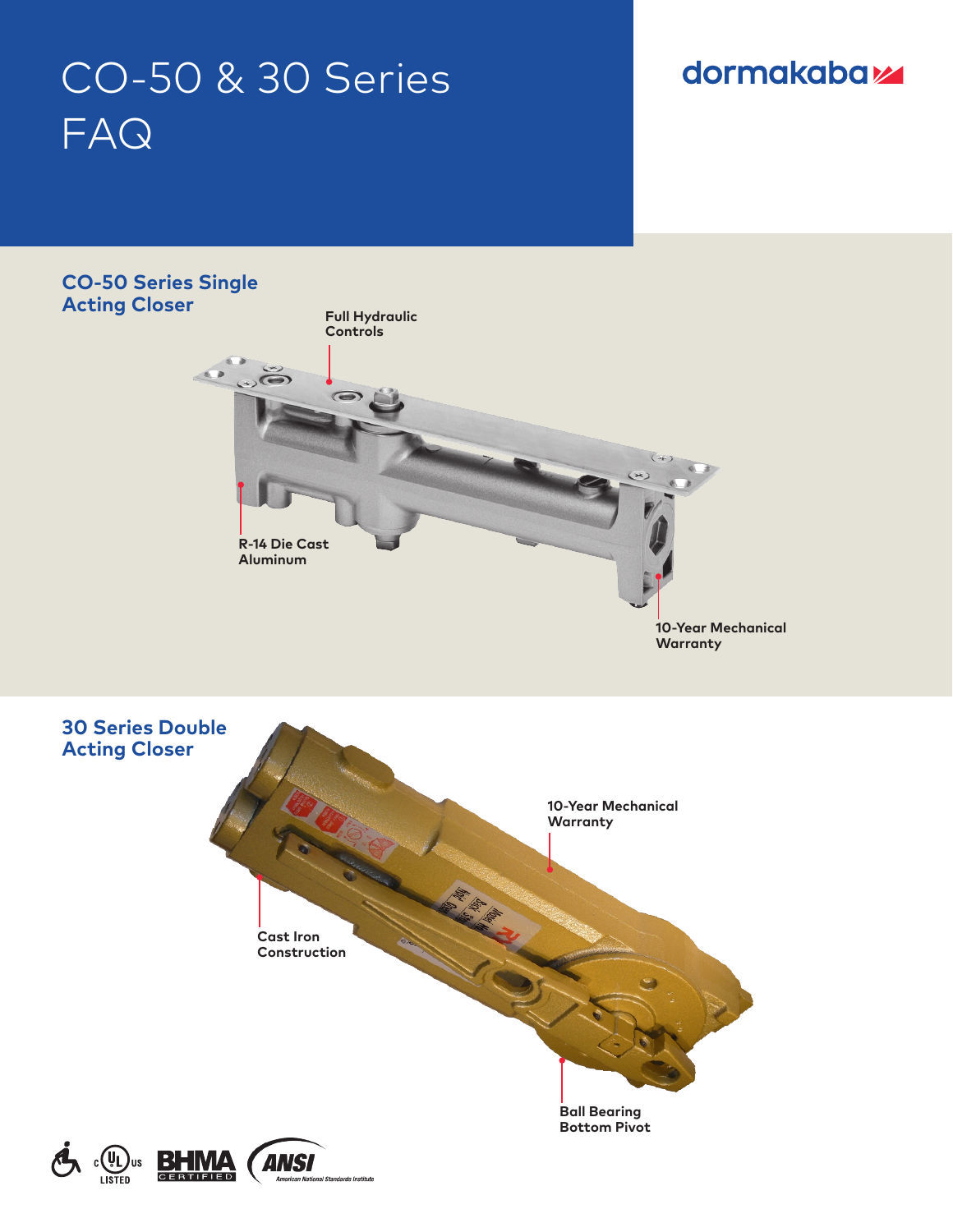# CO-50 & 30 Series FAQ

# dormakabaz